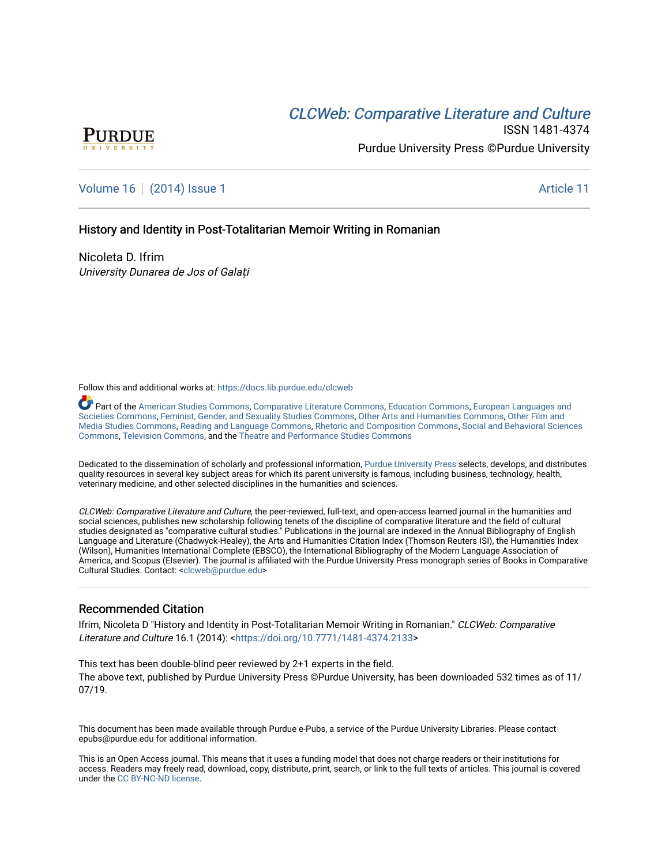# CLCW[eb: Comparative Liter](https://docs.lib.purdue.edu/clcweb)ature and Culture



ISSN 1481-4374 Purdue University Press ©Purdue University

# [Volume 16](https://docs.lib.purdue.edu/clcweb/vol16) | [\(2014\) Issue 1](https://docs.lib.purdue.edu/clcweb/vol16/iss1) Article 11

### History and Identity in Post-Totalitarian Memoir Writing in Romanian

Nicoleta D. Ifrim University Dunarea de Jos of Galați

Follow this and additional works at: [https://docs.lib.purdue.edu/clcweb](https://docs.lib.purdue.edu/clcweb?utm_source=docs.lib.purdue.edu%2Fclcweb%2Fvol16%2Fiss1%2F11&utm_medium=PDF&utm_campaign=PDFCoverPages)

Part of the [American Studies Commons](http://network.bepress.com/hgg/discipline/439?utm_source=docs.lib.purdue.edu%2Fclcweb%2Fvol16%2Fiss1%2F11&utm_medium=PDF&utm_campaign=PDFCoverPages), [Comparative Literature Commons,](http://network.bepress.com/hgg/discipline/454?utm_source=docs.lib.purdue.edu%2Fclcweb%2Fvol16%2Fiss1%2F11&utm_medium=PDF&utm_campaign=PDFCoverPages) [Education Commons,](http://network.bepress.com/hgg/discipline/784?utm_source=docs.lib.purdue.edu%2Fclcweb%2Fvol16%2Fiss1%2F11&utm_medium=PDF&utm_campaign=PDFCoverPages) [European Languages and](http://network.bepress.com/hgg/discipline/482?utm_source=docs.lib.purdue.edu%2Fclcweb%2Fvol16%2Fiss1%2F11&utm_medium=PDF&utm_campaign=PDFCoverPages) [Societies Commons](http://network.bepress.com/hgg/discipline/482?utm_source=docs.lib.purdue.edu%2Fclcweb%2Fvol16%2Fiss1%2F11&utm_medium=PDF&utm_campaign=PDFCoverPages), [Feminist, Gender, and Sexuality Studies Commons,](http://network.bepress.com/hgg/discipline/559?utm_source=docs.lib.purdue.edu%2Fclcweb%2Fvol16%2Fiss1%2F11&utm_medium=PDF&utm_campaign=PDFCoverPages) [Other Arts and Humanities Commons](http://network.bepress.com/hgg/discipline/577?utm_source=docs.lib.purdue.edu%2Fclcweb%2Fvol16%2Fiss1%2F11&utm_medium=PDF&utm_campaign=PDFCoverPages), [Other Film and](http://network.bepress.com/hgg/discipline/565?utm_source=docs.lib.purdue.edu%2Fclcweb%2Fvol16%2Fiss1%2F11&utm_medium=PDF&utm_campaign=PDFCoverPages)  [Media Studies Commons](http://network.bepress.com/hgg/discipline/565?utm_source=docs.lib.purdue.edu%2Fclcweb%2Fvol16%2Fiss1%2F11&utm_medium=PDF&utm_campaign=PDFCoverPages), [Reading and Language Commons](http://network.bepress.com/hgg/discipline/1037?utm_source=docs.lib.purdue.edu%2Fclcweb%2Fvol16%2Fiss1%2F11&utm_medium=PDF&utm_campaign=PDFCoverPages), [Rhetoric and Composition Commons,](http://network.bepress.com/hgg/discipline/573?utm_source=docs.lib.purdue.edu%2Fclcweb%2Fvol16%2Fiss1%2F11&utm_medium=PDF&utm_campaign=PDFCoverPages) [Social and Behavioral Sciences](http://network.bepress.com/hgg/discipline/316?utm_source=docs.lib.purdue.edu%2Fclcweb%2Fvol16%2Fiss1%2F11&utm_medium=PDF&utm_campaign=PDFCoverPages) [Commons,](http://network.bepress.com/hgg/discipline/316?utm_source=docs.lib.purdue.edu%2Fclcweb%2Fvol16%2Fiss1%2F11&utm_medium=PDF&utm_campaign=PDFCoverPages) [Television Commons,](http://network.bepress.com/hgg/discipline/1143?utm_source=docs.lib.purdue.edu%2Fclcweb%2Fvol16%2Fiss1%2F11&utm_medium=PDF&utm_campaign=PDFCoverPages) and the [Theatre and Performance Studies Commons](http://network.bepress.com/hgg/discipline/552?utm_source=docs.lib.purdue.edu%2Fclcweb%2Fvol16%2Fiss1%2F11&utm_medium=PDF&utm_campaign=PDFCoverPages)

Dedicated to the dissemination of scholarly and professional information, [Purdue University Press](http://www.thepress.purdue.edu/) selects, develops, and distributes quality resources in several key subject areas for which its parent university is famous, including business, technology, health, veterinary medicine, and other selected disciplines in the humanities and sciences.

CLCWeb: Comparative Literature and Culture, the peer-reviewed, full-text, and open-access learned journal in the humanities and social sciences, publishes new scholarship following tenets of the discipline of comparative literature and the field of cultural studies designated as "comparative cultural studies." Publications in the journal are indexed in the Annual Bibliography of English Language and Literature (Chadwyck-Healey), the Arts and Humanities Citation Index (Thomson Reuters ISI), the Humanities Index (Wilson), Humanities International Complete (EBSCO), the International Bibliography of the Modern Language Association of America, and Scopus (Elsevier). The journal is affiliated with the Purdue University Press monograph series of Books in Comparative Cultural Studies. Contact: [<clcweb@purdue.edu](mailto:clcweb@purdue.edu)>

### Recommended Citation

Ifrim, Nicoleta D "History and Identity in Post-Totalitarian Memoir Writing in Romanian." CLCWeb: Comparative Literature and Culture 16.1 (2014): <<https://doi.org/10.7771/1481-4374.2133>>

This text has been double-blind peer reviewed by 2+1 experts in the field. The above text, published by Purdue University Press ©Purdue University, has been downloaded 532 times as of 11/ 07/19.

This document has been made available through Purdue e-Pubs, a service of the Purdue University Libraries. Please contact epubs@purdue.edu for additional information.

This is an Open Access journal. This means that it uses a funding model that does not charge readers or their institutions for access. Readers may freely read, download, copy, distribute, print, search, or link to the full texts of articles. This journal is covered under the [CC BY-NC-ND license.](https://creativecommons.org/licenses/by-nc-nd/4.0/)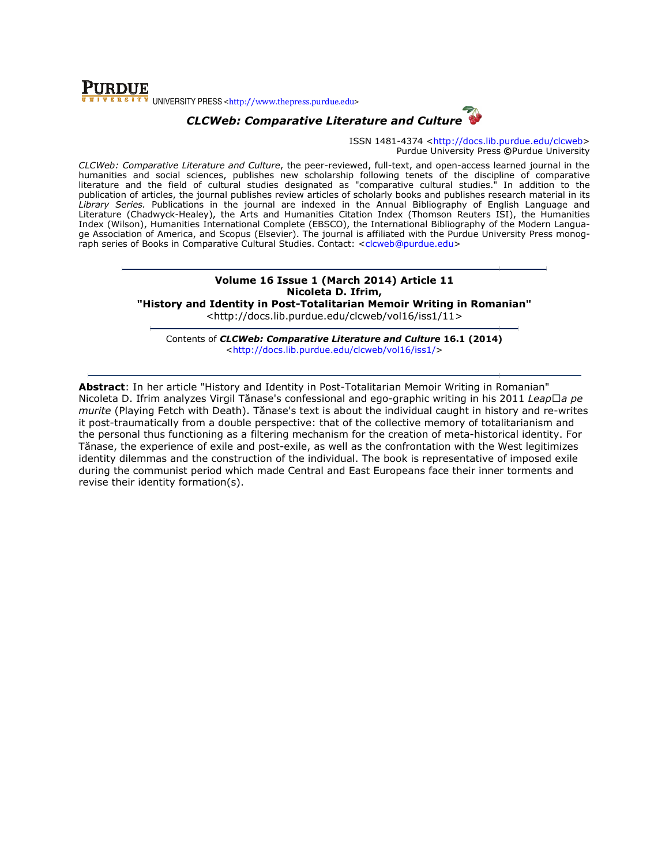

# CLCWeb: Comparative Literature and Culture

ISSN 1481-4374 <http://docs.lib.purdue.edu/clcweb> Purdue University Press ©Purdue University

CLCWeb: Comparative Literature and Culture, the peer-reviewed, full-text, and open-access learned journal in the humanities and social sciences, publishes new scholarship following tenets of the discipline of comparative *CLCWeb: Comparative Literature and Culture*, the peer-reviewed, full-text, and open-access learned journal in the<br>humanities and social sciences, publishes new scholarship following tenets of the discipline of comparative publication of articles, the journal publishes review articles of scholarly books and publishes research material in its Library Series. Publications in the journal are indexed in the Annual Bibliography of English Language and Literature (Chadwyck-Healey), the Arts and Humanities Citation Index (Thomson Reuters ISI), the Humanities Index (Wilson), Humanities International Complete (EBSCO), the International Bibliography of the Modern Langua Literature (Chadwyck-Healey), the Arts and Humanities Citation Index (Thomson Reuters ISI), the Humanities<br>Index (Wilson), Humanities International Complete (EBSCO), the International Bibliography of the Modern Langua-<br>ge raph series of Books in Comparative Cultural Studies. Contact: <clcweb@purdue.edu> ticles of scholarly books and publishes research material in its<br>exed in the Annual Bibliography of English Language and<br>ities Citation Index (Thomson Reuters ISI), the Humanities<br>EBSCO), the International Bibliography of

## Volume 16 16 Issue 1 (March 2014) Article 11 Nicoleta D. Ifrim,

"History and Identity in Post-Totalitarian Memoir Writing in Romanian"

<http://docs.li <http://docs.lib.purdue.edu/clcweb/vol16/iss1/11>

Contents of *CLCWeb: Comparative Literature and Culture* 16.1 (2014) <http://docs.lib.purdue.edu/clcweb/vol16/iss1/ http://docs.lib.purdue.edu/clcweb/vol16/iss1/>

Abstract: In her article "History and Identity in Post-Totalitarian Memoir Writing in Romanian" Nicoleta D. Ifrim analyzes Virgil Tănase's confessional and ego-graphic writing in his 2011 *Leap*□*a pe* murite (Playing Fetch with Death). Tănase's text is about the individual caught in history and re-writes it post-traumatically from a double perspective: that of the collective memory of totalitarianism and the personal thus functioning as a filtering mechanism for the creation of meta-historical identity. For Tănase, the experience of exile and post-exile, as well as the confrontation with the West identity dilemmas and the construction of the individual. The book is representative of imposed exile during the communist period which made Central and East Europeans face their inner torments and revise their identity formation(s). f totalitarianism and<br>historical identity. For<br>I the West legitimizes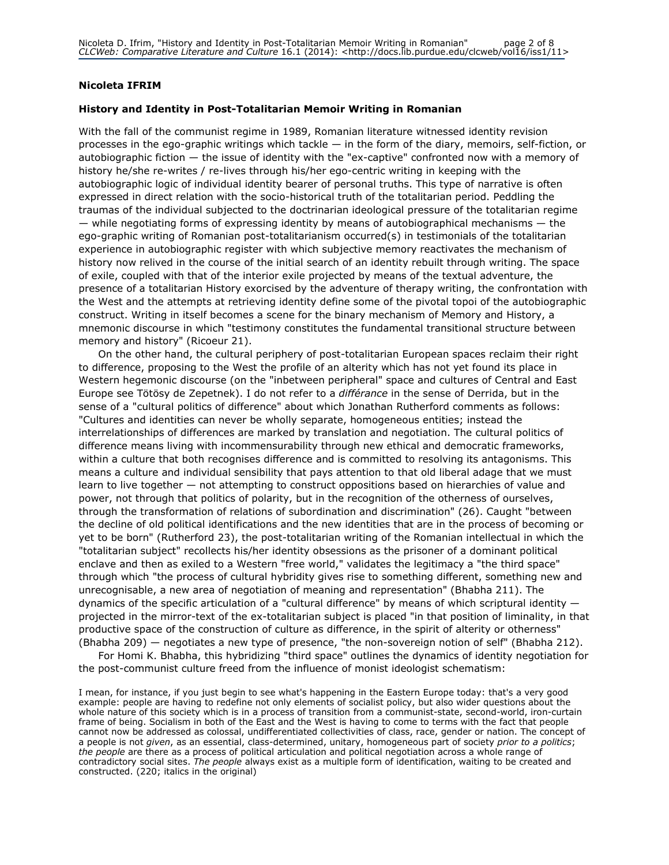### Nicoleta IFRIM

#### History and Identity in Post-Totalitarian Memoir Writing in Romanian

With the fall of the communist regime in 1989, Romanian literature witnessed identity revision processes in the ego-graphic writings which tackle — in the form of the diary, memoirs, self-fiction, or autobiographic fiction — the issue of identity with the "ex-captive" confronted now with a memory of history he/she re-writes / re-lives through his/her ego-centric writing in keeping with the autobiographic logic of individual identity bearer of personal truths. This type of narrative is often expressed in direct relation with the socio-historical truth of the totalitarian period. Peddling the traumas of the individual subjected to the doctrinarian ideological pressure of the totalitarian regime  $-$  while negotiating forms of expressing identity by means of autobiographical mechanisms  $-$  the ego-graphic writing of Romanian post-totalitarianism occurred(s) in testimonials of the totalitarian experience in autobiographic register with which subjective memory reactivates the mechanism of history now relived in the course of the initial search of an identity rebuilt through writing. The space of exile, coupled with that of the interior exile projected by means of the textual adventure, the presence of a totalitarian History exorcised by the adventure of therapy writing, the confrontation with the West and the attempts at retrieving identity define some of the pivotal topoi of the autobiographic construct. Writing in itself becomes a scene for the binary mechanism of Memory and History, a mnemonic discourse in which "testimony constitutes the fundamental transitional structure between memory and history" (Ricoeur 21).

On the other hand, the cultural periphery of post-totalitarian European spaces reclaim their right to difference, proposing to the West the profile of an alterity which has not yet found its place in Western hegemonic discourse (on the "inbetween peripheral" space and cultures of Central and East Europe see Tötösy de Zepetnek). I do not refer to a *différance* in the sense of Derrida, but in the sense of a "cultural politics of difference" about which Jonathan Rutherford comments as follows: "Cultures and identities can never be wholly separate, homogeneous entities; instead the interrelationships of differences are marked by translation and negotiation. The cultural politics of difference means living with incommensurability through new ethical and democratic frameworks, within a culture that both recognises difference and is committed to resolving its antagonisms. This means a culture and individual sensibility that pays attention to that old liberal adage that we must learn to live together — not attempting to construct oppositions based on hierarchies of value and power, not through that politics of polarity, but in the recognition of the otherness of ourselves, through the transformation of relations of subordination and discrimination" (26). Caught "between the decline of old political identifications and the new identities that are in the process of becoming or yet to be born" (Rutherford 23), the post-totalitarian writing of the Romanian intellectual in which the "totalitarian subject" recollects his/her identity obsessions as the prisoner of a dominant political enclave and then as exiled to a Western "free world," validates the legitimacy a "the third space" through which "the process of cultural hybridity gives rise to something different, something new and unrecognisable, a new area of negotiation of meaning and representation" (Bhabha 211). The dynamics of the specific articulation of a "cultural difference" by means of which scriptural identity projected in the mirror-text of the ex-totalitarian subject is placed "in that position of liminality, in that productive space of the construction of culture as difference, in the spirit of alterity or otherness" (Bhabha 209) — negotiates a new type of presence, "the non-sovereign notion of self" (Bhabha 212).

For Homi K. Bhabha, this hybridizing "third space" outlines the dynamics of identity negotiation for the post-communist culture freed from the influence of monist ideologist schematism:

I mean, for instance, if you just begin to see what's happening in the Eastern Europe today: that's a very good example: people are having to redefine not only elements of socialist policy, but also wider questions about the whole nature of this society which is in a process of transition from a communist-state, second-world, iron-curtain frame of being. Socialism in both of the East and the West is having to come to terms with the fact that people cannot now be addressed as colossal, undifferentiated collectivities of class, race, gender or nation. The concept of a people is not given, as an essential, class-determined, unitary, homogeneous part of society prior to a politics; the people are there as a process of political articulation and political negotiation across a whole range of contradictory social sites. The people always exist as a multiple form of identification, waiting to be created and constructed. (220; italics in the original)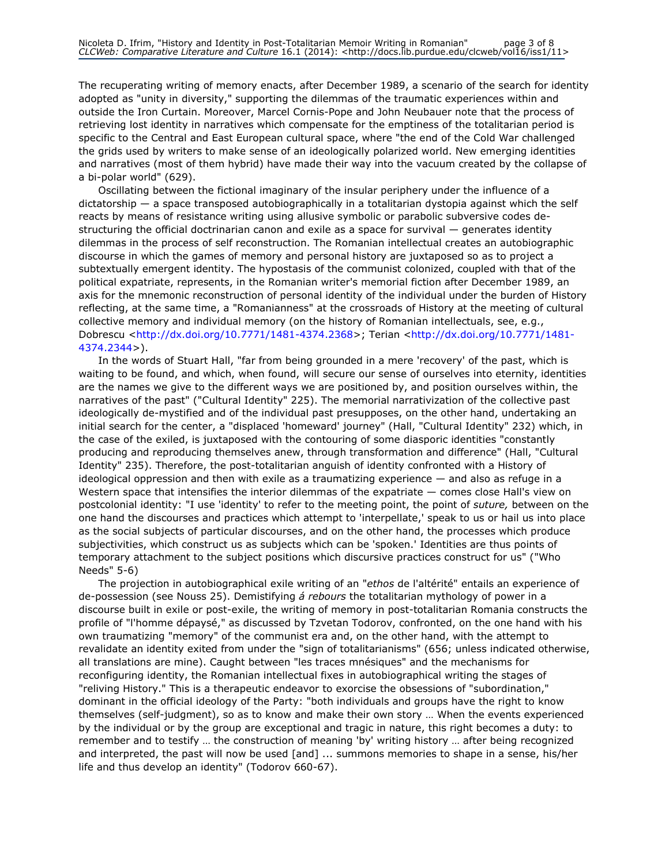The recuperating writing of memory enacts, after December 1989, a scenario of the search for identity adopted as "unity in diversity," supporting the dilemmas of the traumatic experiences within and outside the Iron Curtain. Moreover, Marcel Cornis-Pope and John Neubauer note that the process of retrieving lost identity in narratives which compensate for the emptiness of the totalitarian period is specific to the Central and East European cultural space, where "the end of the Cold War challenged the grids used by writers to make sense of an ideologically polarized world. New emerging identities and narratives (most of them hybrid) have made their way into the vacuum created by the collapse of a bi-polar world" (629).

Oscillating between the fictional imaginary of the insular periphery under the influence of a dictatorship — a space transposed autobiographically in a totalitarian dystopia against which the self reacts by means of resistance writing using allusive symbolic or parabolic subversive codes destructuring the official doctrinarian canon and exile as a space for survival — generates identity dilemmas in the process of self reconstruction. The Romanian intellectual creates an autobiographic discourse in which the games of memory and personal history are juxtaposed so as to project a subtextually emergent identity. The hypostasis of the communist colonized, coupled with that of the political expatriate, represents, in the Romanian writer's memorial fiction after December 1989, an axis for the mnemonic reconstruction of personal identity of the individual under the burden of History reflecting, at the same time, a "Romanianness" at the crossroads of History at the meeting of cultural collective memory and individual memory (on the history of Romanian intellectuals, see, e.g., Dobrescu <http://dx.doi.org/10.7771/1481-4374.2368>; Terian <http://dx.doi.org/10.7771/1481- 4374.2344>).

In the words of Stuart Hall, "far from being grounded in a mere 'recovery' of the past, which is waiting to be found, and which, when found, will secure our sense of ourselves into eternity, identities are the names we give to the different ways we are positioned by, and position ourselves within, the narratives of the past" ("Cultural Identity" 225). The memorial narrativization of the collective past ideologically de-mystified and of the individual past presupposes, on the other hand, undertaking an initial search for the center, a "displaced 'homeward' journey" (Hall, "Cultural Identity" 232) which, in the case of the exiled, is juxtaposed with the contouring of some diasporic identities "constantly producing and reproducing themselves anew, through transformation and difference" (Hall, "Cultural Identity" 235). Therefore, the post-totalitarian anguish of identity confronted with a History of ideological oppression and then with exile as a traumatizing experience — and also as refuge in a Western space that intensifies the interior dilemmas of the expatriate — comes close Hall's view on postcolonial identity: "I use 'identity' to refer to the meeting point, the point of suture, between on the one hand the discourses and practices which attempt to 'interpellate,' speak to us or hail us into place as the social subjects of particular discourses, and on the other hand, the processes which produce subjectivities, which construct us as subjects which can be 'spoken.' Identities are thus points of temporary attachment to the subject positions which discursive practices construct for us" ("Who Needs" 5-6)

The projection in autobiographical exile writing of an "ethos de l'altérité" entails an experience of de-possession (see Nouss 25). Demistifying á rebours the totalitarian mythology of power in a discourse built in exile or post-exile, the writing of memory in post-totalitarian Romania constructs the profile of "l'homme dépaysé," as discussed by Tzvetan Todorov, confronted, on the one hand with his own traumatizing "memory" of the communist era and, on the other hand, with the attempt to revalidate an identity exited from under the "sign of totalitarianisms" (656; unless indicated otherwise, all translations are mine). Caught between "les traces mnésiques" and the mechanisms for reconfiguring identity, the Romanian intellectual fixes in autobiographical writing the stages of "reliving History." This is a therapeutic endeavor to exorcise the obsessions of "subordination," dominant in the official ideology of the Party: "both individuals and groups have the right to know themselves (self-judgment), so as to know and make their own story … When the events experienced by the individual or by the group are exceptional and tragic in nature, this right becomes a duty: to remember and to testify … the construction of meaning 'by' writing history … after being recognized and interpreted, the past will now be used [and] ... summons memories to shape in a sense, his/her life and thus develop an identity" (Todorov 660-67).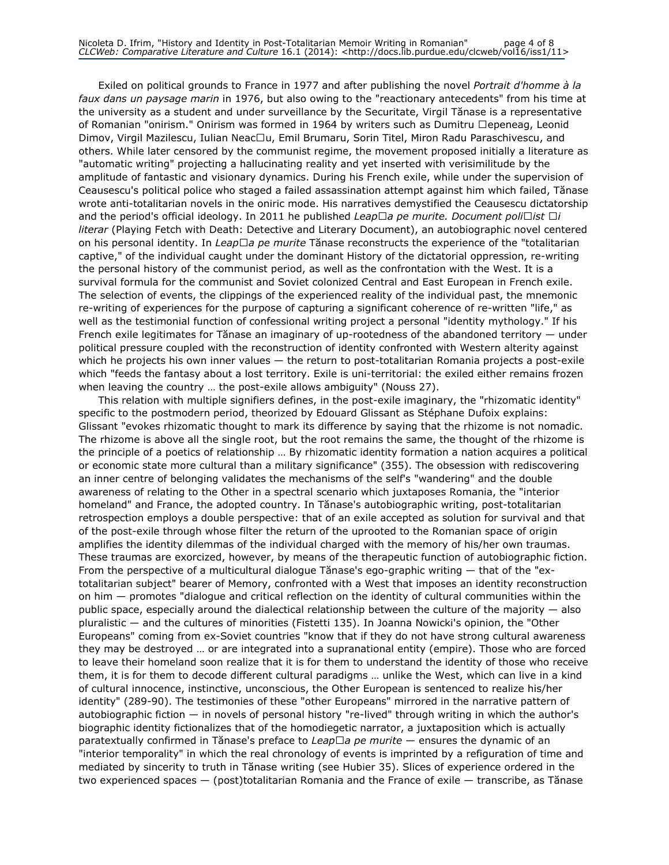Exiled on political grounds to France in 1977 and after publishing the novel Portrait d'homme à la faux dans un paysage marin in 1976, but also owing to the "reactionary antecedents" from his time at the university as a student and under surveillance by the Securitate, Virgil Tănase is a representative of Romanian "onirism." Onirism was formed in 1964 by writers such as Dumitru □epeneag, Leonid Dimov, Virgil Mazilescu, Iulian Neac□u, Emil Brumaru, Sorin Titel, Miron Radu Paraschivescu, and others. While later censored by the communist regime, the movement proposed initially a literature as "automatic writing" projecting a hallucinating reality and yet inserted with verisimilitude by the amplitude of fantastic and visionary dynamics. During his French exile, while under the supervision of Ceausescu's political police who staged a failed assassination attempt against him which failed, Tănase wrote anti-totalitarian novels in the oniric mode. His narratives demystified the Ceausescu dictatorship and the period's official ideology. In 2011 he published Leap $\Box$ a pe murite. Document poli $\Box$ ist  $\Box$ i literar (Playing Fetch with Death: Detective and Literary Document), an autobiographic novel centered on his personal identity. In Leap $\Box$ a pe murite Tănase reconstructs the experience of the "totalitarian captive," of the individual caught under the dominant History of the dictatorial oppression, re-writing the personal history of the communist period, as well as the confrontation with the West. It is a survival formula for the communist and Soviet colonized Central and East European in French exile. The selection of events, the clippings of the experienced reality of the individual past, the mnemonic re-writing of experiences for the purpose of capturing a significant coherence of re-written "life," as well as the testimonial function of confessional writing project a personal "identity mythology." If his French exile legitimates for Tănase an imaginary of up-rootedness of the abandoned territory — under political pressure coupled with the reconstruction of identity confronted with Western alterity against which he projects his own inner values — the return to post-totalitarian Romania projects a post-exile which "feeds the fantasy about a lost territory. Exile is uni-territorial: the exiled either remains frozen when leaving the country … the post-exile allows ambiguity" (Nouss 27).

This relation with multiple signifiers defines, in the post-exile imaginary, the "rhizomatic identity" specific to the postmodern period, theorized by Edouard Glissant as Stéphane Dufoix explains: Glissant "evokes rhizomatic thought to mark its difference by saying that the rhizome is not nomadic. The rhizome is above all the single root, but the root remains the same, the thought of the rhizome is the principle of a poetics of relationship … By rhizomatic identity formation a nation acquires a political or economic state more cultural than a military significance" (355). The obsession with rediscovering an inner centre of belonging validates the mechanisms of the self's "wandering" and the double awareness of relating to the Other in a spectral scenario which juxtaposes Romania, the "interior homeland" and France, the adopted country. In Tănase's autobiographic writing, post-totalitarian retrospection employs a double perspective: that of an exile accepted as solution for survival and that of the post-exile through whose filter the return of the uprooted to the Romanian space of origin amplifies the identity dilemmas of the individual charged with the memory of his/her own traumas. These traumas are exorcized, however, by means of the therapeutic function of autobiographic fiction. From the perspective of a multicultural dialogue Tănase's ego-graphic writing — that of the "extotalitarian subject" bearer of Memory, confronted with a West that imposes an identity reconstruction on him — promotes "dialogue and critical reflection on the identity of cultural communities within the public space, especially around the dialectical relationship between the culture of the majority — also pluralistic — and the cultures of minorities (Fistetti 135). In Joanna Nowicki's opinion, the "Other Europeans" coming from ex-Soviet countries "know that if they do not have strong cultural awareness they may be destroyed … or are integrated into a supranational entity (empire). Those who are forced to leave their homeland soon realize that it is for them to understand the identity of those who receive them, it is for them to decode different cultural paradigms … unlike the West, which can live in a kind of cultural innocence, instinctive, unconscious, the Other European is sentenced to realize his/her identity" (289-90). The testimonies of these "other Europeans" mirrored in the narrative pattern of autobiographic fiction — in novels of personal history "re-lived" through writing in which the author's biographic identity fictionalizes that of the homodiegetic narrator, a juxtaposition which is actually paratextually confirmed in Tănase's preface to Leap $\Box a$  pe murite — ensures the dynamic of an "interior temporality" in which the real chronology of events is imprinted by a refiguration of time and mediated by sincerity to truth in Tănase writing (see Hubier 35). Slices of experience ordered in the two experienced spaces — (post)totalitarian Romania and the France of exile — transcribe, as Tănase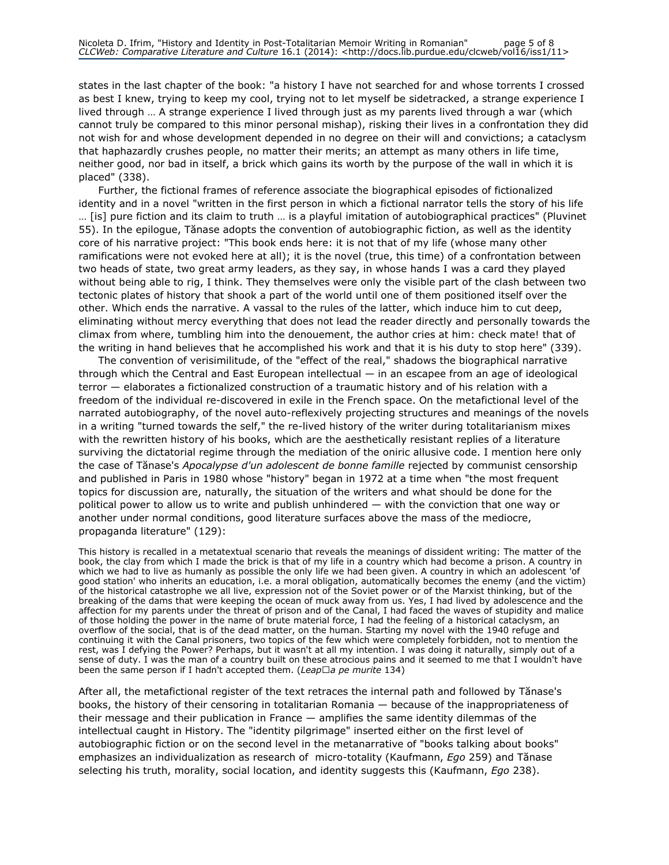states in the last chapter of the book: "a history I have not searched for and whose torrents I crossed as best I knew, trying to keep my cool, trying not to let myself be sidetracked, a strange experience I lived through … A strange experience I lived through just as my parents lived through a war (which cannot truly be compared to this minor personal mishap), risking their lives in a confrontation they did not wish for and whose development depended in no degree on their will and convictions; a cataclysm that haphazardly crushes people, no matter their merits; an attempt as many others in life time, neither good, nor bad in itself, a brick which gains its worth by the purpose of the wall in which it is placed" (338).

Further, the fictional frames of reference associate the biographical episodes of fictionalized identity and in a novel "written in the first person in which a fictional narrator tells the story of his life … [is] pure fiction and its claim to truth … is a playful imitation of autobiographical practices" (Pluvinet 55). In the epilogue, Tănase adopts the convention of autobiographic fiction, as well as the identity core of his narrative project: "This book ends here: it is not that of my life (whose many other ramifications were not evoked here at all); it is the novel (true, this time) of a confrontation between two heads of state, two great army leaders, as they say, in whose hands I was a card they played without being able to rig, I think. They themselves were only the visible part of the clash between two tectonic plates of history that shook a part of the world until one of them positioned itself over the other. Which ends the narrative. A vassal to the rules of the latter, which induce him to cut deep, eliminating without mercy everything that does not lead the reader directly and personally towards the climax from where, tumbling him into the denouement, the author cries at him: check mate! that of the writing in hand believes that he accomplished his work and that it is his duty to stop here" (339).

The convention of verisimilitude, of the "effect of the real," shadows the biographical narrative through which the Central and East European intellectual — in an escapee from an age of ideological terror — elaborates a fictionalized construction of a traumatic history and of his relation with a freedom of the individual re-discovered in exile in the French space. On the metafictional level of the narrated autobiography, of the novel auto-reflexively projecting structures and meanings of the novels in a writing "turned towards the self," the re-lived history of the writer during totalitarianism mixes with the rewritten history of his books, which are the aesthetically resistant replies of a literature surviving the dictatorial regime through the mediation of the oniric allusive code. I mention here only the case of Tănase's *Apocalypse d'un adolescent de bonne famille* rejected by communist censorship and published in Paris in 1980 whose "history" began in 1972 at a time when "the most frequent topics for discussion are, naturally, the situation of the writers and what should be done for the political power to allow us to write and publish unhindered — with the conviction that one way or another under normal conditions, good literature surfaces above the mass of the mediocre, propaganda literature" (129):

This history is recalled in a metatextual scenario that reveals the meanings of dissident writing: The matter of the book, the clay from which I made the brick is that of my life in a country which had become a prison. A country in which we had to live as humanly as possible the only life we had been given. A country in which an adolescent 'of good station' who inherits an education, i.e. a moral obligation, automatically becomes the enemy (and the victim) of the historical catastrophe we all live, expression not of the Soviet power or of the Marxist thinking, but of the breaking of the dams that were keeping the ocean of muck away from us. Yes, I had lived by adolescence and the affection for my parents under the threat of prison and of the Canal, I had faced the waves of stupidity and malice of those holding the power in the name of brute material force, I had the feeling of a historical cataclysm, an overflow of the social, that is of the dead matter, on the human. Starting my novel with the 1940 refuge and continuing it with the Canal prisoners, two topics of the few which were completely forbidden, not to mention the rest, was I defying the Power? Perhaps, but it wasn't at all my intention. I was doing it naturally, simply out of a sense of duty. I was the man of a country built on these atrocious pains and it seemed to me that I wouldn't have been the same person if I hadn't accepted them. (Leap $\Box a$  pe murite 134)

After all, the metafictional register of the text retraces the internal path and followed by Tănase's books, the history of their censoring in totalitarian Romania — because of the inappropriateness of their message and their publication in France — amplifies the same identity dilemmas of the intellectual caught in History. The "identity pilgrimage" inserted either on the first level of autobiographic fiction or on the second level in the metanarrative of "books talking about books" emphasizes an individualization as research of micro-totality (Kaufmann, Ego 259) and Tănase selecting his truth, morality, social location, and identity suggests this (Kaufmann, Ego 238).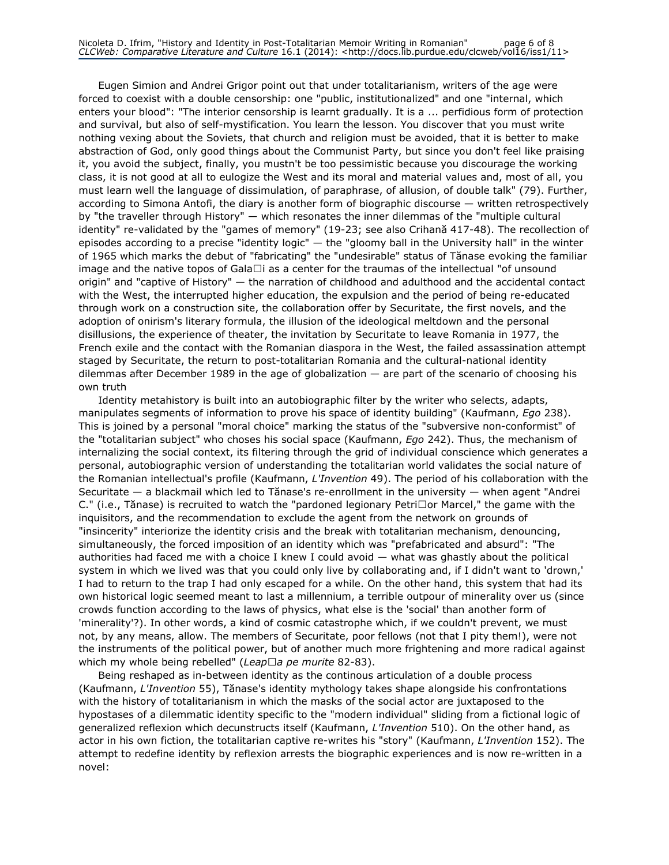Eugen Simion and Andrei Grigor point out that under totalitarianism, writers of the age were forced to coexist with a double censorship: one "public, institutionalized" and one "internal, which enters your blood": "The interior censorship is learnt gradually. It is a ... perfidious form of protection and survival, but also of self-mystification. You learn the lesson. You discover that you must write nothing vexing about the Soviets, that church and religion must be avoided, that it is better to make abstraction of God, only good things about the Communist Party, but since you don't feel like praising it, you avoid the subject, finally, you mustn't be too pessimistic because you discourage the working class, it is not good at all to eulogize the West and its moral and material values and, most of all, you must learn well the language of dissimulation, of paraphrase, of allusion, of double talk" (79). Further, according to Simona Antofi, the diary is another form of biographic discourse — written retrospectively by "the traveller through History" — which resonates the inner dilemmas of the "multiple cultural identity" re-validated by the "games of memory" (19-23; see also Crihană 417-48). The recollection of episodes according to a precise "identity logic" — the "gloomy ball in the University hall" in the winter of 1965 which marks the debut of "fabricating" the "undesirable" status of Tănase evoking the familiar image and the native topos of GalaȚi as a center for the traumas of the intellectual "of unsound origin" and "captive of History" — the narration of childhood and adulthood and the accidental contact with the West, the interrupted higher education, the expulsion and the period of being re-educated through work on a construction site, the collaboration offer by Securitate, the first novels, and the adoption of onirism's literary formula, the illusion of the ideological meltdown and the personal disillusions, the experience of theater, the invitation by Securitate to leave Romania in 1977, the French exile and the contact with the Romanian diaspora in the West, the failed assassination attempt staged by Securitate, the return to post-totalitarian Romania and the cultural-national identity dilemmas after December 1989 in the age of globalization — are part of the scenario of choosing his own truth

Identity metahistory is built into an autobiographic filter by the writer who selects, adapts, manipulates segments of information to prove his space of identity building" (Kaufmann, Ego 238). This is joined by a personal "moral choice" marking the status of the "subversive non-conformist" of the "totalitarian subject" who choses his social space (Kaufmann, Ego 242). Thus, the mechanism of internalizing the social context, its filtering through the grid of individual conscience which generates a personal, autobiographic version of understanding the totalitarian world validates the social nature of the Romanian intellectual's profile (Kaufmann, L'Invention 49). The period of his collaboration with the Securitate — a blackmail which led to Tănase's re-enrollment in the university — when agent "Andrei C." (i.e., Tănase) is recruited to watch the "pardoned legionary Petri□or Marcel," the game with the inquisitors, and the recommendation to exclude the agent from the network on grounds of "insincerity" interiorize the identity crisis and the break with totalitarian mechanism, denouncing, simultaneously, the forced imposition of an identity which was "prefabricated and absurd": "The authorities had faced me with a choice I knew I could avoid — what was ghastly about the political system in which we lived was that you could only live by collaborating and, if I didn't want to 'drown,' I had to return to the trap I had only escaped for a while. On the other hand, this system that had its own historical logic seemed meant to last a millennium, a terrible outpour of minerality over us (since crowds function according to the laws of physics, what else is the 'social' than another form of 'minerality'?). In other words, a kind of cosmic catastrophe which, if we couldn't prevent, we must not, by any means, allow. The members of Securitate, poor fellows (not that I pity them!), were not the instruments of the political power, but of another much more frightening and more radical against which my whole being rebelled" (Leap $\Box a$  pe murite 82-83).

Being reshaped as in-between identity as the continous articulation of a double process (Kaufmann, L'Invention 55), Tănase's identity mythology takes shape alongside his confrontations with the history of totalitarianism in which the masks of the social actor are juxtaposed to the hypostases of a dilemmatic identity specific to the "modern individual" sliding from a fictional logic of generalized reflexion which decunstructs itself (Kaufmann, L'Invention 510). On the other hand, as actor in his own fiction, the totalitarian captive re-writes his "story" (Kaufmann, L'Invention 152). The attempt to redefine identity by reflexion arrests the biographic experiences and is now re-written in a novel: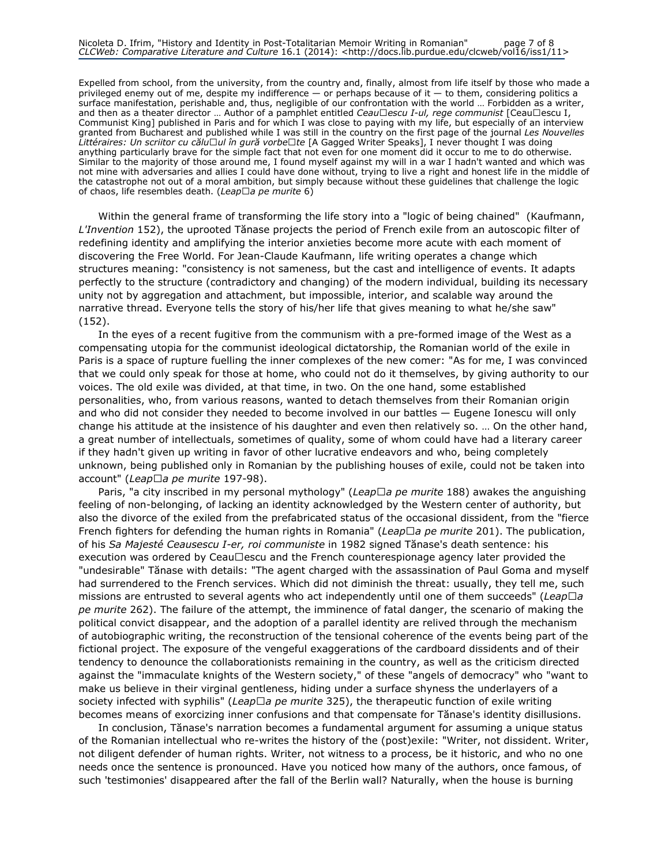Expelled from school, from the university, from the country and, finally, almost from life itself by those who made a privileged enemy out of me, despite my indifference — or perhaps because of it — to them, considering politics a surface manifestation, perishable and, thus, negligible of our confrontation with the world … Forbidden as a writer, and then as a theater director ... Author of a pamphlet entitled Ceau $\Box$ escu I-ul, rege communist [Ceau $\Box$ escu I, Communist King] published in Paris and for which I was close to paying with my life, but especially of an interview granted from Bucharest and published while I was still in the country on the first page of the journal Les Nouvelles Littéraires: Un scriitor cu călu□ul în gură vorbe□te [A Gagged Writer Speaks], I never thought I was doing anything particularly brave for the simple fact that not even for one moment did it occur to me to do otherwise. Similar to the majority of those around me, I found myself against my will in a war I hadn't wanted and which was not mine with adversaries and allies I could have done without, trying to live a right and honest life in the middle of the catastrophe not out of a moral ambition, but simply because without these guidelines that challenge the logic of chaos, life resembles death. (Leap $\Box$ a pe murite 6)

Within the general frame of transforming the life story into a "logic of being chained" (Kaufmann, L'Invention 152), the uprooted Tănase projects the period of French exile from an autoscopic filter of redefining identity and amplifying the interior anxieties become more acute with each moment of discovering the Free World. For Jean-Claude Kaufmann, life writing operates a change which structures meaning: "consistency is not sameness, but the cast and intelligence of events. It adapts perfectly to the structure (contradictory and changing) of the modern individual, building its necessary unity not by aggregation and attachment, but impossible, interior, and scalable way around the narrative thread. Everyone tells the story of his/her life that gives meaning to what he/she saw" (152).

In the eyes of a recent fugitive from the communism with a pre-formed image of the West as a compensating utopia for the communist ideological dictatorship, the Romanian world of the exile in Paris is a space of rupture fuelling the inner complexes of the new comer: "As for me, I was convinced that we could only speak for those at home, who could not do it themselves, by giving authority to our voices. The old exile was divided, at that time, in two. On the one hand, some established personalities, who, from various reasons, wanted to detach themselves from their Romanian origin and who did not consider they needed to become involved in our battles — Eugene Ionescu will only change his attitude at the insistence of his daughter and even then relatively so. … On the other hand, a great number of intellectuals, sometimes of quality, some of whom could have had a literary career if they hadn't given up writing in favor of other lucrative endeavors and who, being completely unknown, being published only in Romanian by the publishing houses of exile, could not be taken into account" (Leap $\Box$ a pe murite 197-98).

Paris, "a city inscribed in my personal mythology" (Leap $\Box$ a pe murite 188) awakes the anguishing feeling of non-belonging, of lacking an identity acknowledged by the Western center of authority, but also the divorce of the exiled from the prefabricated status of the occasional dissident, from the "fierce French fighters for defending the human rights in Romania" (Leap $\Box$ a pe murite 201). The publication, of his Sa Majesté Ceausescu I-er, roi communiste in 1982 signed Tănase's death sentence: his execution was ordered by Ceau $\Box$ escu and the French counterespionage agency later provided the "undesirable" Tănase with details: "The agent charged with the assassination of Paul Goma and myself had surrendered to the French services. Which did not diminish the threat: usually, they tell me, such missions are entrusted to several agents who act independently until one of them succeeds" (Leap $\Box a$ pe murite 262). The failure of the attempt, the imminence of fatal danger, the scenario of making the political convict disappear, and the adoption of a parallel identity are relived through the mechanism of autobiographic writing, the reconstruction of the tensional coherence of the events being part of the fictional project. The exposure of the vengeful exaggerations of the cardboard dissidents and of their tendency to denounce the collaborationists remaining in the country, as well as the criticism directed against the "immaculate knights of the Western society," of these "angels of democracy" who "want to make us believe in their virginal gentleness, hiding under a surface shyness the underlayers of a society infected with syphilis" (Leap $\Box a$  pe murite 325), the therapeutic function of exile writing becomes means of exorcizing inner confusions and that compensate for Tănase's identity disillusions.

In conclusion, Tănase's narration becomes a fundamental argument for assuming a unique status of the Romanian intellectual who re-writes the history of the (post)exile: "Writer, not dissident. Writer, not diligent defender of human rights. Writer, not witness to a process, be it historic, and who no one needs once the sentence is pronounced. Have you noticed how many of the authors, once famous, of such 'testimonies' disappeared after the fall of the Berlin wall? Naturally, when the house is burning